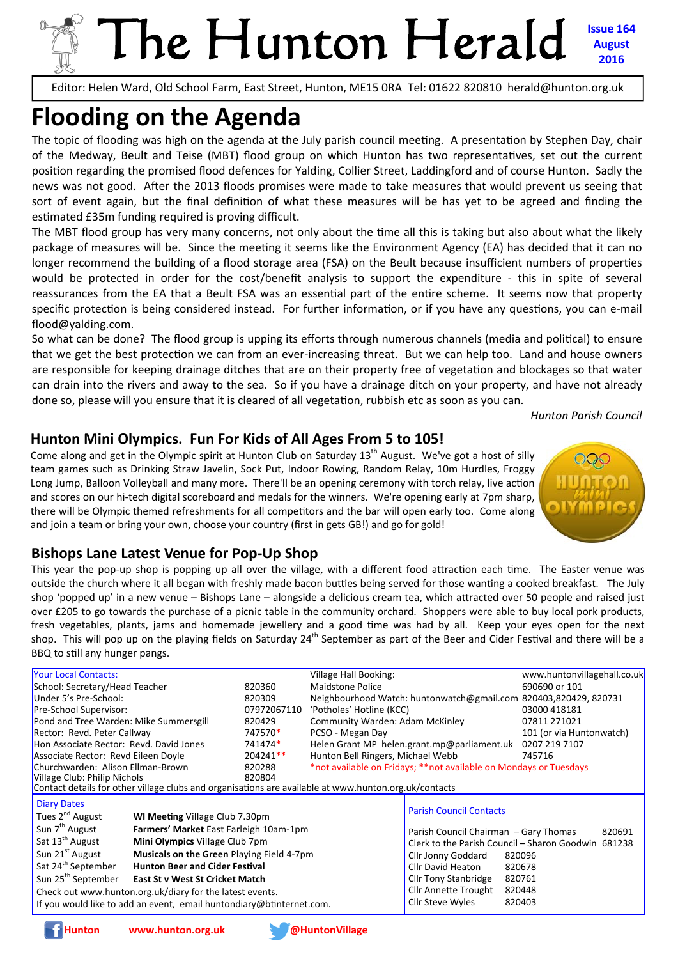## The Hunton Herald **Issue 164 August 2016**

Editor: Helen Ward, Old School Farm, East Street, Hunton, ME15 0RA Tel: 01622 820810 herald@hunton.org.uk

## **Flooding on the Agenda**

The topic of flooding was high on the agenda at the July parish council meeting. A presentation by Stephen Day, chair of the Medway, Beult and Teise (MBT) flood group on which Hunton has two representatives, set out the current position regarding the promised flood defences for Yalding, Collier Street, Laddingford and of course Hunton. Sadly the news was not good. After the 2013 floods promises were made to take measures that would prevent us seeing that sort of event again, but the final definition of what these measures will be has yet to be agreed and finding the estimated £35m funding required is proving difficult.

The MBT flood group has very many concerns, not only about the time all this is taking but also about what the likely package of measures will be. Since the meeting it seems like the Environment Agency (EA) has decided that it can no longer recommend the building of a flood storage area (FSA) on the Beult because insufficient numbers of properties would be protected in order for the cost/benefit analysis to support the expenditure - this in spite of several reassurances from the EA that a Beult FSA was an essential part of the entire scheme. It seems now that property specific protection is being considered instead. For further information, or if you have any questions, you can e-mail flood@yalding.com.

So what can be done? The flood group is upping its efforts through numerous channels (media and political) to ensure that we get the best protection we can from an ever-increasing threat. But we can help too. Land and house owners are responsible for keeping drainage ditches that are on their property free of vegetation and blockages so that water can drain into the rivers and away to the sea. So if you have a drainage ditch on your property, and have not already done so, please will you ensure that it is cleared of all vegetation, rubbish etc as soon as you can.

*Hunton Parish Council*

#### **Hunton Mini Olympics. Fun For Kids of All Ages From 5 to 105!**

Come along and get in the Olympic spirit at Hunton Club on Saturday  $13<sup>th</sup>$  August. We've got a host of silly team games such as Drinking Straw Javelin, Sock Put, Indoor Rowing, Random Relay, 10m Hurdles, Froggy Long Jump, Balloon Volleyball and many more. There'll be an opening ceremony with torch relay, live action and scores on our hi-tech digital scoreboard and medals for the winners. We're opening early at 7pm sharp, there will be Olympic themed refreshments for all competitors and the bar will open early too. Come along and join a team or bring your own, choose your country (first in gets GB!) and go for gold!



#### **Bishops Lane Latest Venue for Pop-Up Shop**

This year the pop-up shop is popping up all over the village, with a different food attraction each time. The Easter venue was outside the church where it all began with freshly made bacon butties being served for those wanting a cooked breakfast. The July shop 'popped up' in a new venue – Bishops Lane – alongside a delicious cream tea, which attracted over 50 people and raised just over £205 to go towards the purchase of a picnic table in the community orchard. Shoppers were able to buy local pork products, fresh vegetables, plants, jams and homemade jewellery and a good time was had by all. Keep your eyes open for the next shop. This will pop up on the playing fields on Saturday  $24<sup>th</sup>$  September as part of the Beer and Cider Festival and there will be a BBQ to still any hunger pangs.

| <b>Your Local Contacts:</b>                                                                           |  |                  | Village Hall Booking:                                             | www.huntonvillagehall.co.uk                         |                          |  |  |  |
|-------------------------------------------------------------------------------------------------------|--|------------------|-------------------------------------------------------------------|-----------------------------------------------------|--------------------------|--|--|--|
| School: Secretary/Head Teacher                                                                        |  | 820360           | <b>Maidstone Police</b>                                           |                                                     | 690690 or 101            |  |  |  |
| Under 5's Pre-School:                                                                                 |  | 820309           | Neighbourhood Watch: huntonwatch@gmail.com 820403,820429, 820731  |                                                     |                          |  |  |  |
| Pre-School Supervisor:                                                                                |  | 07972067110      | 'Potholes' Hotline (KCC)                                          |                                                     | 03000 418181             |  |  |  |
| Pond and Tree Warden: Mike Summersgill                                                                |  | 820429           | <b>Community Warden: Adam McKinley</b>                            |                                                     | 07811 271021             |  |  |  |
| Rector: Revd. Peter Callway                                                                           |  | 747570*          | PCSO - Megan Day                                                  |                                                     | 101 (or via Huntonwatch) |  |  |  |
| Hon Associate Rector: Revd. David Jones                                                               |  | 741474*          | Helen Grant MP helen.grant.mp@parliament.uk                       |                                                     | 0207 219 7107            |  |  |  |
| Associate Rector: Revd Eileen Doyle                                                                   |  | $204241**$       | Hunton Bell Ringers, Michael Webb                                 |                                                     | 745716                   |  |  |  |
| Churchwarden: Alison Ellman-Brown                                                                     |  | 820288<br>820804 | *not available on Fridays; **not available on Mondays or Tuesdays |                                                     |                          |  |  |  |
| Village Club: Philip Nichols                                                                          |  |                  |                                                                   |                                                     |                          |  |  |  |
| Contact details for other village clubs and organisations are available at www.hunton.org.uk/contacts |  |                  |                                                                   |                                                     |                          |  |  |  |
| <b>Diary Dates</b>                                                                                    |  |                  |                                                                   | <b>Parish Council Contacts</b>                      |                          |  |  |  |
| Tues 2 <sup>nd</sup> August<br><b>WI Meeting Village Club 7.30pm</b>                                  |  |                  |                                                                   |                                                     |                          |  |  |  |
| Sun 7 <sup>th</sup> August<br>Farmers' Market East Farleigh 10am-1pm                                  |  |                  |                                                                   | Parish Council Chairman - Gary Thomas               | 820691                   |  |  |  |
| Sat 13 <sup>th</sup> August<br>Mini Olympics Village Club 7pm                                         |  |                  |                                                                   | Clerk to the Parish Council - Sharon Goodwin 681238 |                          |  |  |  |
| Sun 21 <sup>st</sup> August<br><b>Musicals on the Green Playing Field 4-7pm</b>                       |  |                  |                                                                   | Cllr Jonny Goddard                                  | 820096                   |  |  |  |
| Sat 24 <sup>th</sup> September<br><b>Hunton Beer and Cider Festival</b>                               |  |                  |                                                                   | Cllr David Heaton                                   | 820678                   |  |  |  |
| Sun 25 <sup>th</sup> September<br>East St v West St Cricket Match                                     |  |                  |                                                                   | <b>Cllr Tony Stanbridge</b>                         | 820761                   |  |  |  |
| Check out www.hunton.org.uk/diary for the latest events.                                              |  |                  |                                                                   | Cllr Annette Trought                                | 820448                   |  |  |  |
| If you would like to add an event, email huntondiary@btinternet.com.                                  |  |                  |                                                                   | <b>Cllr Steve Wyles</b>                             | 820403                   |  |  |  |

**Hunton www.hunton.org.uk @HuntonVillage**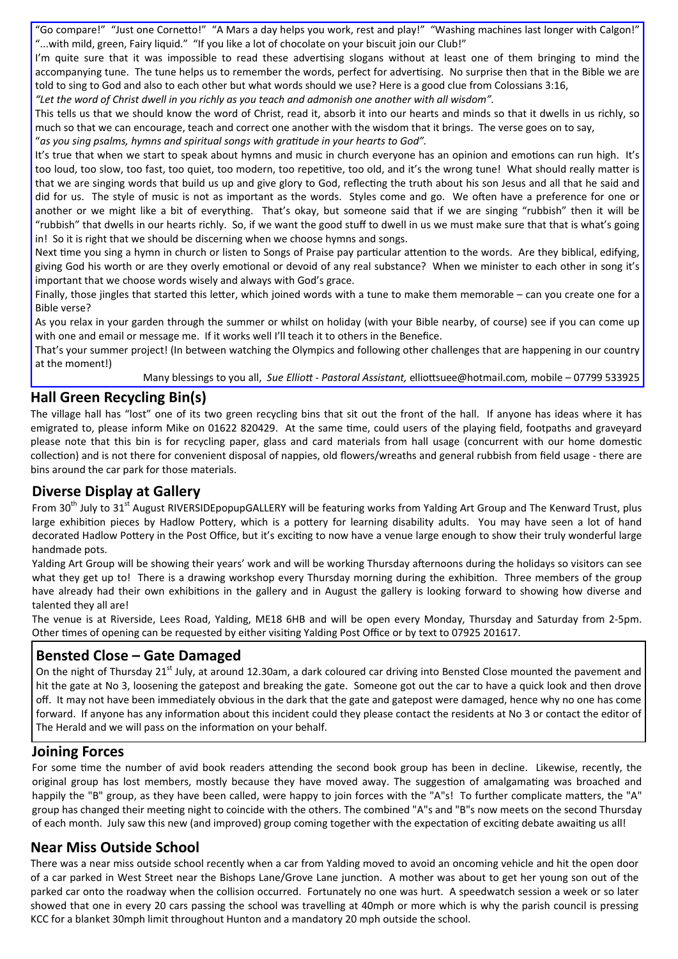"Go compare!" "Just one Cornetto!" "A Mars a day helps you work, rest and play!" "Washing machines last longer with Calgon!" "...with mild, green, Fairy liquid." "If you like a lot of chocolate on your biscuit join our Club!"

I'm quite sure that it was impossible to read these advertising slogans without at least one of them bringing to mind the accompanying tune. The tune helps us to remember the words, perfect for advertising. No surprise then that in the Bible we are told to sing to God and also to each other but what words should we use? Here is a good clue from Colossians 3:16,

*"Let the word of Christ dwell in you richly as you teach and admonish one another with all wisdom".* 

This tells us that we should know the word of Christ, read it, absorb it into our hearts and minds so that it dwells in us richly, so much so that we can encourage, teach and correct one another with the wisdom that it brings. The verse goes on to say, "as you sing psalms, hymns and spiritual songs with gratitude in your hearts to God".

It's true that when we start to speak about hymns and music in church everyone has an opinion and emotions can run high. It's too loud, too slow, too fast, too quiet, too modern, too repetitive, too old, and it's the wrong tune! What should really matter is that we are singing words that build us up and give glory to God, reflecting the truth about his son Jesus and all that he said and did for us. The style of music is not as important as the words. Styles come and go. We often have a preference for one or another or we might like a bit of everything. That's okay, but someone said that if we are singing "rubbish" then it will be "rubbish" that dwells in our hearts richly. So, if we want the good stuff to dwell in us we must make sure that that is what's going in! So it is right that we should be discerning when we choose hymns and songs.

Next time you sing a hymn in church or listen to Songs of Praise pay particular attention to the words. Are they biblical, edifying, giving God his worth or are they overly emotional or devoid of any real substance? When we minister to each other in song it's important that we choose words wisely and always with God's grace.

Finally, those jingles that started this letter, which joined words with a tune to make them memorable – can you create one for a Bible verse?

As you relax in your garden through the summer or whilst on holiday (with your Bible nearby, of course) see if you can come up with one and email or message me. If it works well I'll teach it to others in the Benefice.

That's your summer project! (In between watching the Olympics and following other challenges that are happening in our country at the moment!)

Many blessings to you all, *Sue Elliott - Pastoral Assistant, elliottsuee@hotmail.com, mobile – 07799 533925* 

#### **Hall Green Recycling Bin(s)**

The village hall has "lost" one of its two green recycling bins that sit out the front of the hall. If anyone has ideas where it has emigrated to, please inform Mike on 01622 820429. At the same time, could users of the playing field, footpaths and graveyard please note that this bin is for recycling paper, glass and card materials from hall usage (concurrent with our home domestic collection) and is not there for convenient disposal of nappies, old flowers/wreaths and general rubbish from field usage - there are bins around the car park for those materials.

#### **Diverse Display at Gallery**

From 30<sup>th</sup> July to 31<sup>st</sup> August RIVERSIDEpopupGALLERY will be featuring works from Yalding Art Group and The Kenward Trust, plus large exhibition pieces by Hadlow Pottery, which is a pottery for learning disability adults. You may have seen a lot of hand decorated Hadlow Pottery in the Post Office, but it's exciting to now have a venue large enough to show their truly wonderful large handmade pots.

Yalding Art Group will be showing their years' work and will be working Thursday afternoons during the holidays so visitors can see what they get up to! There is a drawing workshop every Thursday morning during the exhibition. Three members of the group have already had their own exhibitions in the gallery and in August the gallery is looking forward to showing how diverse and talented they all are!

The venue is at Riverside, Lees Road, Yalding, ME18 6HB and will be open every Monday, Thursday and Saturday from 2-5pm. Other times of opening can be requested by either visiting Yalding Post Office or by text to 07925 201617.

#### **Bensted Close – Gate Damaged**

On the night of Thursday 21<sup>st</sup> July, at around 12.30am, a dark coloured car driving into Bensted Close mounted the pavement and hit the gate at No 3, loosening the gatepost and breaking the gate. Someone got out the car to have a quick look and then drove off. It may not have been immediately obvious in the dark that the gate and gatepost were damaged, hence why no one has come forward. If anyone has any information about this incident could they please contact the residents at No 3 or contact the editor of The Herald and we will pass on the information on your behalf.

#### **Joining Forces**

For some time the number of avid book readers attending the second book group has been in decline. Likewise, recently, the original group has lost members, mostly because they have moved away. The suggestion of amalgamating was broached and happily the "B" group, as they have been called, were happy to join forces with the "A"s! To further complicate matters, the "A" group has changed their meeting night to coincide with the others. The combined "A"s and "B"s now meets on the second Thursday of each month. July saw this new (and improved) group coming together with the expectation of exciting debate awaiting us all!

#### **Near Miss Outside School**

There was a near miss outside school recently when a car from Yalding moved to avoid an oncoming vehicle and hit the open door of a car parked in West Street near the Bishops Lane/Grove Lane junction. A mother was about to get her young son out of the parked car onto the roadway when the collision occurred. Fortunately no one was hurt. A speedwatch session a week or so later showed that one in every 20 cars passing the school was travelling at 40mph or more which is why the parish council is pressing KCC for a blanket 30mph limit throughout Hunton and a mandatory 20 mph outside the school.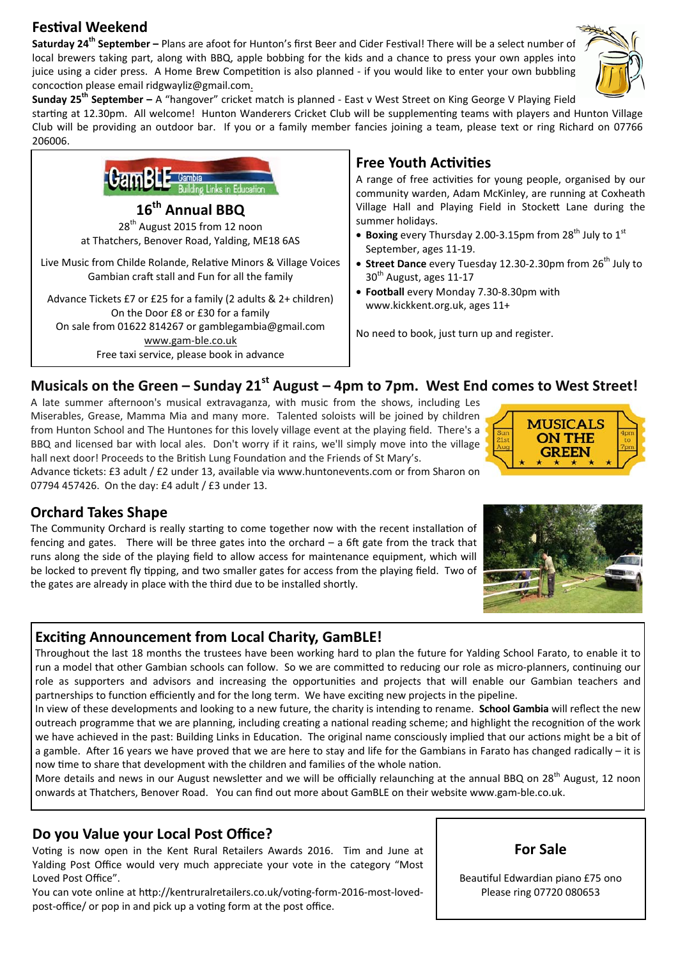### **FesƟval Weekend**

Saturday 24<sup>th</sup> September - Plans are afoot for Hunton's first Beer and Cider Festival! There will be a select number of local brewers taking part, along with BBQ, apple bobbing for the kids and a chance to press your own apples into juice using a cider press. A Home Brew Competition is also planned - if you would like to enter your own bubbling concoction please email ridgwayliz@gmail.com.



**Sunday 25th September –** A "hangover" cricket match is planned - East v West Street on King George V Playing Field

starting at 12.30pm. All welcome! Hunton Wanderers Cricket Club will be supplementing teams with players and Hunton Village Club will be providing an outdoor bar. If you or a family member fancies joining a team, please text or ring Richard on 07766 206006.



www.gam-ble.co.uk Free taxi service, please book in advance

### **Free Youth Activities**

A range of free activities for young people, organised by our community warden, Adam McKinley, are running at Coxheath Village Hall and Playing Field in Stockett Lane during the summer holidays.

- **Boxing** every Thursday 2.00-3.15pm from 28<sup>th</sup> July to 1<sup>st</sup> September, ages 11-19.
- **Street Dance** every Tuesday 12.30-2.30pm from 26<sup>th</sup> July to  $30<sup>th</sup>$  August, ages 11-17
- **Football** every Monday 7.30-8.30pm with www.kickkent.org.uk, ages 11+

No need to book, just turn up and register.

#### Musicals on the Green – Sunday 21<sup>st</sup> August – 4pm to 7pm. West End comes to West Street!

A late summer afternoon's musical extravaganza, with music from the shows, including Les Miserables, Grease, Mamma Mia and many more. Talented soloists will be joined by children from Hunton School and The Huntones for this lovely village event at the playing field. There's a BBQ and licensed bar with local ales. Don't worry if it rains, we'll simply move into the village hall next door! Proceeds to the British Lung Foundation and the Friends of St Mary's.

Advance tickets: £3 adult / £2 under 13, available via www.huntonevents.com or from Sharon on 07794 457426. On the day: £4 adult / £3 under 13.



#### **Orchard Takes Shape**

The Community Orchard is really starting to come together now with the recent installation of fencing and gates. There will be three gates into the orchard  $-$  a 6ft gate from the track that runs along the side of the playing field to allow access for maintenance equipment, which will be locked to prevent fly tipping, and two smaller gates for access from the playing field. Two of the gates are already in place with the third due to be installed shortly.

#### **ExciƟng Announcement from Local Charity, GamBLE!**

Throughout the last 18 months the trustees have been working hard to plan the future for Yalding School Farato, to enable it to run a model that other Gambian schools can follow. So we are committed to reducing our role as micro-planners, continuing our role as supporters and advisors and increasing the opportunities and projects that will enable our Gambian teachers and partnerships to function efficiently and for the long term. We have exciting new projects in the pipeline.

In view of these developments and looking to a new future, the charity is intending to rename. **School Gambia** will reflect the new outreach programme that we are planning, including creating a national reading scheme; and highlight the recognition of the work we have achieved in the past: Building Links in Education. The original name consciously implied that our actions might be a bit of a gamble. After 16 years we have proved that we are here to stay and life for the Gambians in Farato has changed radically – it is now time to share that development with the children and families of the whole nation.

More details and news in our August newsletter and we will be officially relaunching at the annual BBQ on 28<sup>th</sup> August, 12 noon onwards at Thatchers, Benover Road. You can find out more about GamBLE on their website www.gam-ble.co.uk.

#### **Do you Value your Local Post Office?**

Voting is now open in the Kent Rural Retailers Awards 2016. Tim and June at Yalding Post Office would very much appreciate your vote in the category "Most Loved Post Office".

You can vote online at http://kentruralretailers.co.uk/voting-form-2016-most-lovedpost-office/ or pop in and pick up a voting form at the post office.



Beautiful Edwardian piano £75 ono Please ring 07720 080653